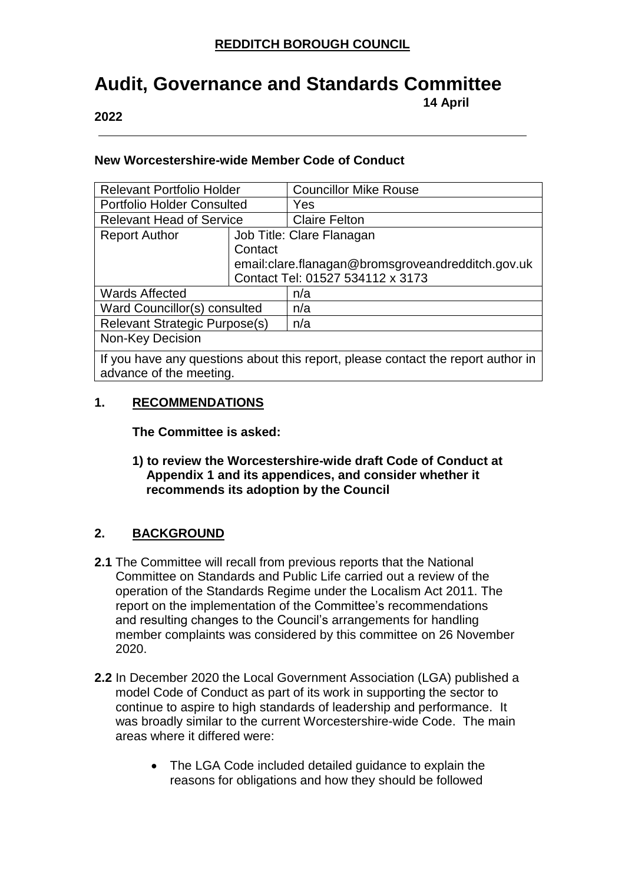## **Audit, Governance and Standards Committee 14 April**

**2022**

#### **New Worcestershire-wide Member Code of Conduct**

| <b>Relevant Portfolio Holder</b>                                                 |                                                     | <b>Councillor Mike Rouse</b>     |  |  |
|----------------------------------------------------------------------------------|-----------------------------------------------------|----------------------------------|--|--|
| <b>Portfolio Holder Consulted</b>                                                |                                                     | Yes                              |  |  |
| <b>Relevant Head of Service</b>                                                  |                                                     | <b>Claire Felton</b>             |  |  |
| <b>Report Author</b>                                                             | Job Title: Clare Flanagan                           |                                  |  |  |
|                                                                                  | Contact                                             |                                  |  |  |
|                                                                                  | email: clare. flanagan@bromsgroveandredditch.gov.uk |                                  |  |  |
|                                                                                  |                                                     | Contact Tel: 01527 534112 x 3173 |  |  |
| <b>Wards Affected</b>                                                            |                                                     | n/a                              |  |  |
| Ward Councillor(s) consulted                                                     |                                                     | n/a                              |  |  |
| Relevant Strategic Purpose(s)                                                    |                                                     | n/a                              |  |  |
| Non-Key Decision                                                                 |                                                     |                                  |  |  |
| If you have any questions about this report, please contact the report author in |                                                     |                                  |  |  |

advance of the meeting.

### **1. RECOMMENDATIONS**

**The Committee is asked:**

**1) to review the Worcestershire-wide draft Code of Conduct at Appendix 1 and its appendices, and consider whether it recommends its adoption by the Council**

## **2. BACKGROUND**

- **2.1** The Committee will recall from previous reports that the National Committee on Standards and Public Life carried out a review of the operation of the Standards Regime under the Localism Act 2011. The report on the implementation of the Committee's recommendations and resulting changes to the Council's arrangements for handling member complaints was considered by this committee on 26 November 2020.
- **2.2** In December 2020 the Local Government Association (LGA) published a model Code of Conduct as part of its work in supporting the sector to continue to aspire to high standards of leadership and performance. It was broadly similar to the current Worcestershire-wide Code. The main areas where it differed were:
	- The LGA Code included detailed guidance to explain the reasons for obligations and how they should be followed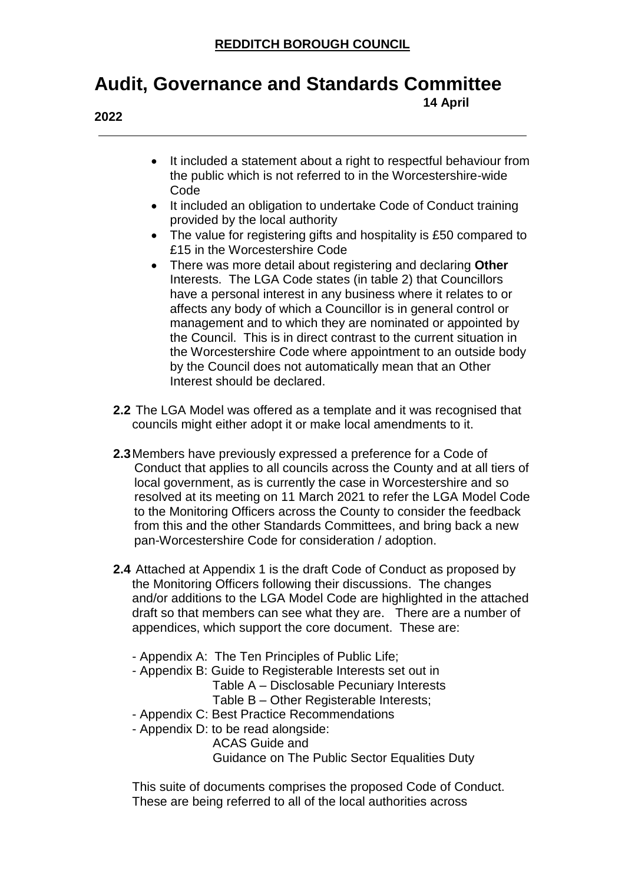## **Audit, Governance and Standards Committee**

**2022**

**14 April** 

- It included a statement about a right to respectful behaviour from the public which is not referred to in the Worcestershire-wide Code
- It included an obligation to undertake Code of Conduct training provided by the local authority
- The value for registering gifts and hospitality is £50 compared to £15 in the Worcestershire Code
- There was more detail about registering and declaring **Other** Interests. The LGA Code states (in table 2) that Councillors have a personal interest in any business where it relates to or affects any body of which a Councillor is in general control or management and to which they are nominated or appointed by the Council. This is in direct contrast to the current situation in the Worcestershire Code where appointment to an outside body by the Council does not automatically mean that an Other Interest should be declared.
- **2.2** The LGA Model was offered as a template and it was recognised that councils might either adopt it or make local amendments to it.
- **2.3**Members have previously expressed a preference for a Code of Conduct that applies to all councils across the County and at all tiers of local government, as is currently the case in Worcestershire and so resolved at its meeting on 11 March 2021 to refer the LGA Model Code to the Monitoring Officers across the County to consider the feedback from this and the other Standards Committees, and bring back a new pan-Worcestershire Code for consideration / adoption.
- **2.4** Attached at Appendix 1 is the draft Code of Conduct as proposed by the Monitoring Officers following their discussions. The changes and/or additions to the LGA Model Code are highlighted in the attached draft so that members can see what they are. There are a number of appendices, which support the core document. These are:
	- Appendix A: The Ten Principles of Public Life;
	- Appendix B: Guide to Registerable Interests set out in
		- Table A Disclosable Pecuniary Interests
		- Table B Other Registerable Interests;
	- Appendix C: Best Practice Recommendations
	- Appendix D: to be read alongside:
		- ACAS Guide and

Guidance on The Public Sector Equalities Duty

This suite of documents comprises the proposed Code of Conduct. These are being referred to all of the local authorities across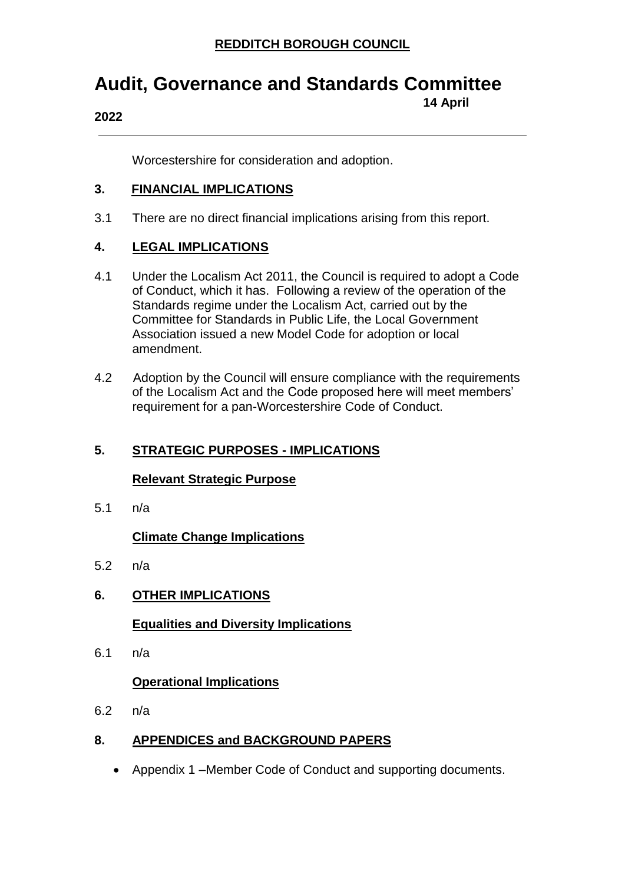**14 April** 

## **Audit, Governance and Standards Committee**

#### **2022**

Worcestershire for consideration and adoption.

### **3. FINANCIAL IMPLICATIONS**

3.1 There are no direct financial implications arising from this report.

## **4. LEGAL IMPLICATIONS**

- 4.1 Under the Localism Act 2011, the Council is required to adopt a Code of Conduct, which it has. Following a review of the operation of the Standards regime under the Localism Act, carried out by the Committee for Standards in Public Life, the Local Government Association issued a new Model Code for adoption or local amendment.
- 4.2 Adoption by the Council will ensure compliance with the requirements of the Localism Act and the Code proposed here will meet members' requirement for a pan-Worcestershire Code of Conduct.

## **5. STRATEGIC PURPOSES - IMPLICATIONS**

## **Relevant Strategic Purpose**

5.1 n/a

## **Climate Change Implications**

5.2 n/a

## **6. OTHER IMPLICATIONS**

## **Equalities and Diversity Implications**

6.1 n/a

## **Operational Implications**

6.2 n/a

## **8. APPENDICES and BACKGROUND PAPERS**

Appendix 1 –Member Code of Conduct and supporting documents.